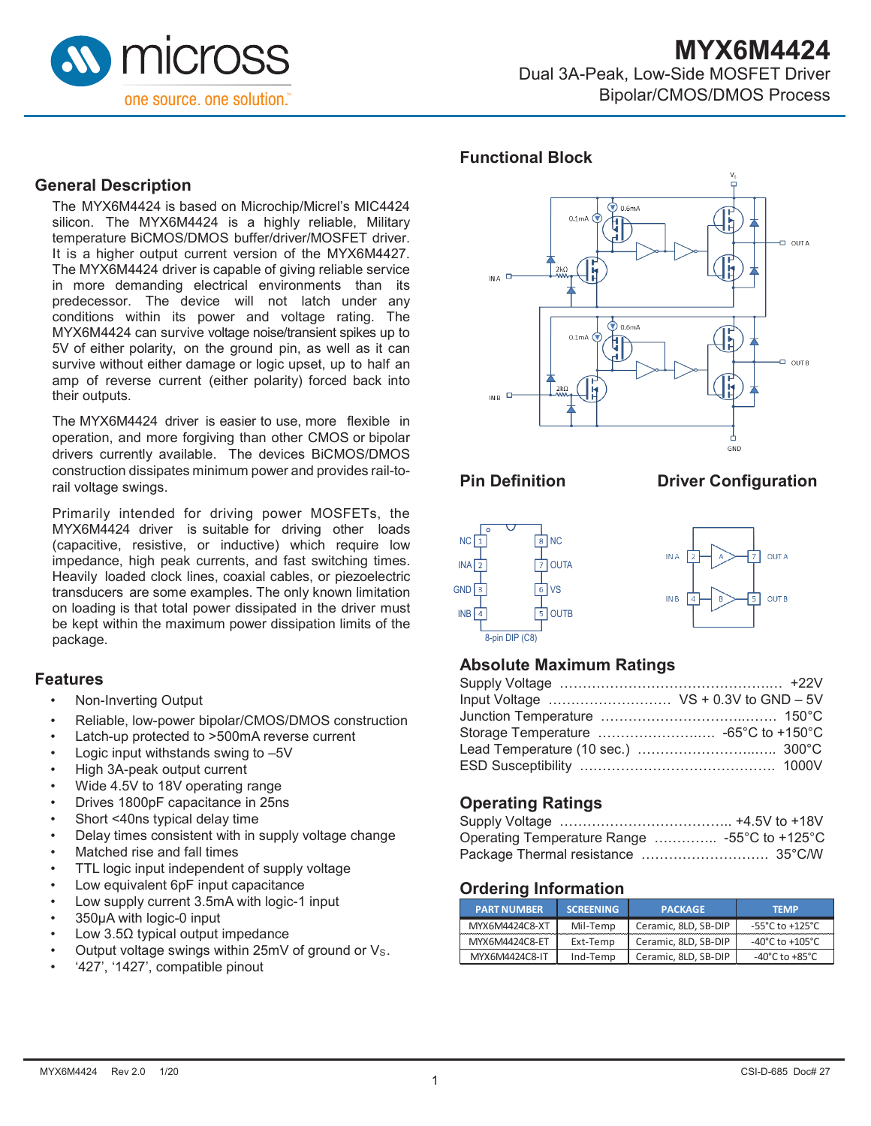

#### **General Description**

The MYX6M4424 is based on Microchip/Micrel's MIC4424 silicon. The MYX6M4424 is a highly reliable, Military temperature BiCMOS/DMOS buffer/driver/MOSFET driver. It is a higher output current version of the MYX6M4427. The MYX6M4424 driver is capable of giving reliable service in more demanding electrical environments than its predecessor. The device will not latch under any conditions within its power and voltage rating. The MYX6M4424 can survive voltage noise/transient spikes up to 5V of either polarity, on the ground pin, as well as it can survive without either damage or logic upset, up to half an amp of reverse current (either polarity) forced back into their outputs.

The MYX6M4424 driver is easier to use, more flexible in operation, and more forgiving than other CMOS or bipolar drivers currently available. The devices BiCMOS/DMOS construction dissipates minimum power and provides rail-torail voltage swings.

Primarily intended for driving power MOSFETs, the MYX6M4424 driver is suitable for driving other loads (capacitive, resistive, or inductive) which require low impedance, high peak currents, and fast switching times. Heavily loaded clock lines, coaxial cables, or piezoelectric transducers are some examples. The only known limitation on loading is that total power dissipated in the driver must be kept within the maximum power dissipation limits of the package.

#### **Features**

- Non-Inverting Output
- Reliable, low-power bipolar/CMOS/DMOS construction
- Latch-up protected to >500mA reverse current
- Logic input withstands swing to  $-5V$
- High 3A-peak output current
- Wide 4.5V to 18V operating range
- Drives 1800pF capacitance in 25ns
- Short <40ns typical delay time
- Delay times consistent with in supply voltage change
- Matched rise and fall times
- TTL logic input independent of supply voltage
- Low equivalent 6pF input capacitance
- Low supply current 3.5mA with logic-1 input
- 350µA with logic-0 input
- Low 3.5Ω typical output impedance
- Output voltage swings within 25mV of ground or Vs.
- '427', '1427', compatible pinout

#### **Functional Block**



#### **Pin Definition Driver Configuration**





# **Absolute Maximum Ratings**

# **Operating Ratings**

| Operating Temperature Range  -55°C to +125°C |  |
|----------------------------------------------|--|
|                                              |  |

#### **Ordering Information**

| <b>PART NUMBER</b> | <b>SCREENING</b> | <b>PACKAGE</b>       | <b>TFMP</b>                         |
|--------------------|------------------|----------------------|-------------------------------------|
| MYX6M4424C8-XT     | Mil-Temp         | Ceramic, 8LD, SB-DIP | $-55^{\circ}$ C to $+125^{\circ}$ C |
| MYX6M4424C8-ET     | Ext-Temp         | Ceramic, 8LD, SB-DIP | $-40^{\circ}$ C to $+105^{\circ}$ C |
| MYX6M4424C8-IT     | Ind-Temp         | Ceramic, 8LD, SB-DIP | $-40^{\circ}$ C to $+85^{\circ}$ C  |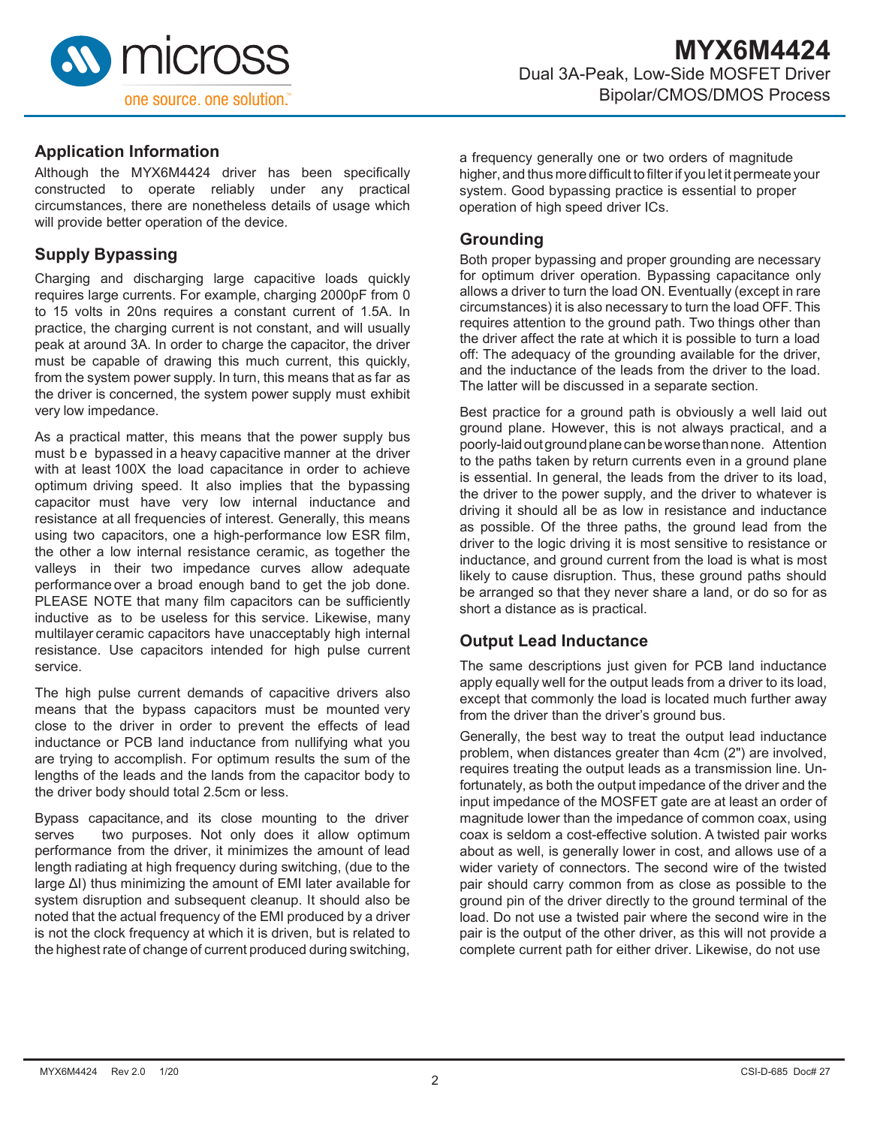

#### **Application Information**

Although the MYX6M4424 driver has been specifically constructed to operate reliably under any practical circumstances, there are nonetheless details of usage which will provide better operation of the device.

# **Supply Bypassing**

Charging and discharging large capacitive loads quickly requires large currents. For example, charging 2000pF from 0 to 15 volts in 20ns requires a constant current of 1.5A. In practice, the charging current is not constant, and will usually peak at around 3A. In order to charge the capacitor, the driver must be capable of drawing this much current, this quickly, from the system power supply. In turn, this means that as far as the driver is concerned, the system power supply must exhibit very low impedance.

As a practical matter, this means that the power supply bus must be bypassed in a heavy capacitive manner at the driver with at least 100X the load capacitance in order to achieve optimum driving speed. It also implies that the bypassing capacitor must have very low internal inductance and resistance at all frequencies of interest. Generally, this means using two capacitors, one a high-performance low ESR film, the other a low internal resistance ceramic, as together the valleys in their two impedance curves allow adequate performance over a broad enough band to get the job done. PLEASE NOTE that many film capacitors can be sufficiently inductive as to be useless for this service. Likewise, many multilayer ceramic capacitors have unacceptably high internal resistance. Use capacitors intended for high pulse current service.

The high pulse current demands of capacitive drivers also means that the bypass capacitors must be mounted very close to the driver in order to prevent the effects of lead inductance or PCB land inductance from nullifying what you are trying to accomplish. For optimum results the sum of the lengths of the leads and the lands from the capacitor body to the driver body should total 2.5cm or less.

Bypass capacitance, and its close mounting to the driver serves two purposes. Not only does it allow optimum performance from the driver, it minimizes the amount of lead length radiating at high frequency during switching, (due to the large ΔI) thus minimizing the amount of EMI later available for system disruption and subsequent cleanup. It should also be noted that the actual frequency of the EMI produced by a driver is not the clock frequency at which it is driven, but is related to the highest rate of change of current produced during switching,

a frequency generally one or two orders of magnitude higher, and thus more difficult to filter if you let it permeate your system. Good bypassing practice is essential to proper operation of high speed driver ICs.

#### **Grounding**

Both proper bypassing and proper grounding are necessary for optimum driver operation. Bypassing capacitance only allows a driver to turn the load ON. Eventually (except in rare circumstances) it is also necessary to turn the load OFF. This requires attention to the ground path. Two things other than the driver affect the rate at which it is possible to turn a load off: The adequacy of the grounding available for the driver, and the inductance of the leads from the driver to the load. The latter will be discussed in a separate section.

Best practice for a ground path is obviously a well laid out ground plane. However, this is not always practical, and a poorly-laidoutgroundplanecanbeworsethannone. Attention to the paths taken by return currents even in a ground plane is essential. In general, the leads from the driver to its load, the driver to the power supply, and the driver to whatever is driving it should all be as low in resistance and inductance as possible. Of the three paths, the ground lead from the driver to the logic driving it is most sensitive to resistance or inductance, and ground current from the load is what is most likely to cause disruption. Thus, these ground paths should be arranged so that they never share a land, or do so for as short a distance as is practical.

# **Output Lead Inductance**

The same descriptions just given for PCB land inductance apply equally well for the output leads from a driver to its load, except that commonly the load is located much further away from the driver than the driver's ground bus.

Generally, the best way to treat the output lead inductance problem, when distances greater than 4cm (2") are involved, requires treating the output leads as a transmission line. Unfortunately, as both the output impedance of the driver and the input impedance of the MOSFET gate are at least an order of magnitude lower than the impedance of common coax, using coax is seldom a cost-effective solution. A twisted pair works about as well, is generally lower in cost, and allows use of a wider variety of connectors. The second wire of the twisted pair should carry common from as close as possible to the ground pin of the driver directly to the ground terminal of the load. Do not use a twisted pair where the second wire in the pair is the output of the other driver, as this will not provide a complete current path for either driver. Likewise, do not use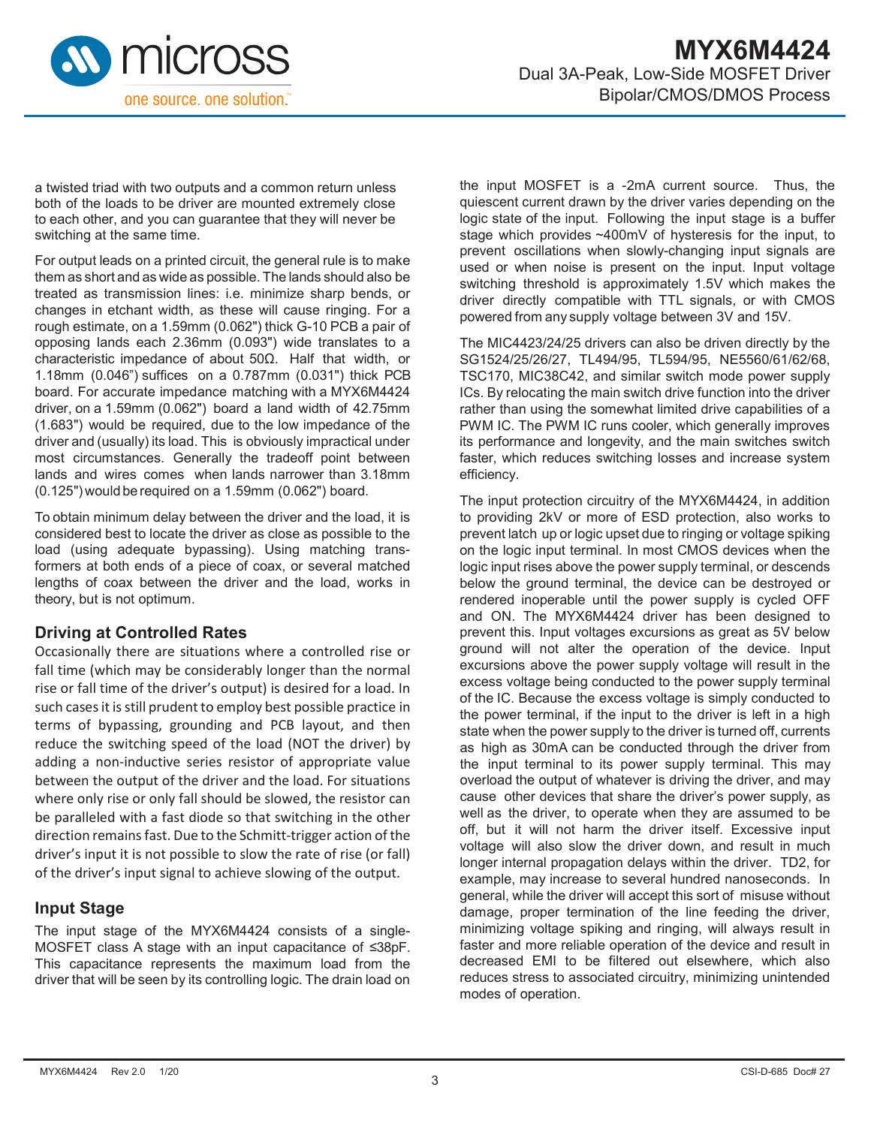

a twisted triad with two outputs and a common return unless both of the loads to be driver are mounted extremely close to each other, and you can guarantee that they will never be switching at the same time.

For output leads on a printed circuit, the general rule is to make them as short and as wide as possible. The lands should also be treated as transmission lines: i.e. minimize sharp bends, or changes in etchant width, as these will cause ringing. For a rough estimate, on a 1.59mm (0.062") thick G-10 PCB a pair of opposing lands each 2.36mm (0.093") wide translates to a characteristic impedance of about 50Ω. Half that width, or 1.18mm (0.046") suffices on a 0.787mm (0.031") thick PCB board. For accurate impedance matching with a MYX6M4424 driver, on a 1.59mm (0.062") board a land width of 42.75mm (1.683") would be required, due to the low impedance of the driver and (usually) its load. This is obviously impractical under most circumstances. Generally the tradeoff point between lands and wires comes when lands narrower than 3.18mm (0.125") would be required on a 1.59mm (0.062") board.

To obtain minimum delay between the driver and the load, it is considered best to locate the driver as close as possible to the load (using adequate bypassing). Using matching transformers at both ends of a piece of coax, or several matched lengths of coax between the driver and the load, works in theory, but is not optimum.

#### **Driving at Controlled Rates**

Occasionally there are situations where a controlled rise or fall time (which may be considerably longer than the normal rise or fall time of the driver's output) is desired for a load. In such cases it is still prudent to employ best possible practice in terms of bypassing, grounding and PCB layout, and then reduce the switching speed of the load (NOT the driver) by adding a non-inductive series resistor of appropriate value between the output of the driver and the load. For situations where only rise or only fall should be slowed, the resistor can be paralleled with a fast diode so that switching in the other direction remains fast. Due to the Schmitt-trigger action of the driver's input it is not possible to slow the rate of rise (or fall) of the driver's input signal to achieve slowing of the output.

#### **Input Stage**

The input stage of the MYX6M4424 consists of a single-MOSFET class A stage with an input capacitance of ≤38pF. This capacitance represents the maximum load from the driver that will be seen by its controlling logic. The drain load on

the input MOSFET is a -2mA current source. Thus, the quiescent current drawn by the driver varies depending on the logic state of the input. Following the input stage is a buffer stage which provides ~400mV of hysteresis for the input, to prevent oscillations when slowly-changing input signals are used or when noise is present on the input. Input voltage switching threshold is approximately 1.5V which makes the driver directly compatible with TTL signals, or with CMOS powered from any supply voltage between 3V and 15V.

The MIC4423/24/25 drivers can also be driven directly by the SG1524/25/26/27, TL494/95, TL594/95, NE5560/61/62/68, TSC170, MIC38C42, and similar switch mode power supply ICs. By relocating the main switch drive function into the driver rather than using the somewhat limited drive capabilities of a PWM IC. The PWM IC runs cooler, which generally improves its performance and longevity, and the main switches switch faster, which reduces switching losses and increase system efficiency.

The input protection circuitry of the MYX6M4424, in addition to providing 2kV or more of ESD protection, also works to prevent latch up or logic upset due to ringing or voltage spiking on the logic input terminal. In most CMOS devices when the logic input rises above the power supply terminal, or descends below the ground terminal, the device can be destroyed or rendered inoperable until the power supply is cycled OFF and ON. The MYX6M4424 driver has been designed to prevent this. Input voltages excursions as great as 5V below ground will not alter the operation of the device. Input excursions above the power supply voltage will result in the excess voltage being conducted to the power supply terminal of the IC. Because the excess voltage is simply conducted to the power terminal, if the input to the driver is left in a high state when the power supply to the driver is turned off, currents as high as 30mA can be conducted through the driver from the input terminal to its power supply terminal. This may overload the output of whatever is driving the driver, and may cause other devices that share the driver's power supply, as well as the driver, to operate when they are assumed to be off, but it will not harm the driver itself. Excessive input voltage will also slow the driver down, and result in much longer internal propagation delays within the driver. TD2, for example, may increase to several hundred nanoseconds. In general, while the driver will accept this sort of misuse without damage, proper termination of the line feeding the driver, minimizing voltage spiking and ringing, will always result in faster and more reliable operation of the device and result in decreased EMI to be filtered out elsewhere, which also reduces stress to associated circuitry, minimizing unintended modes of operation.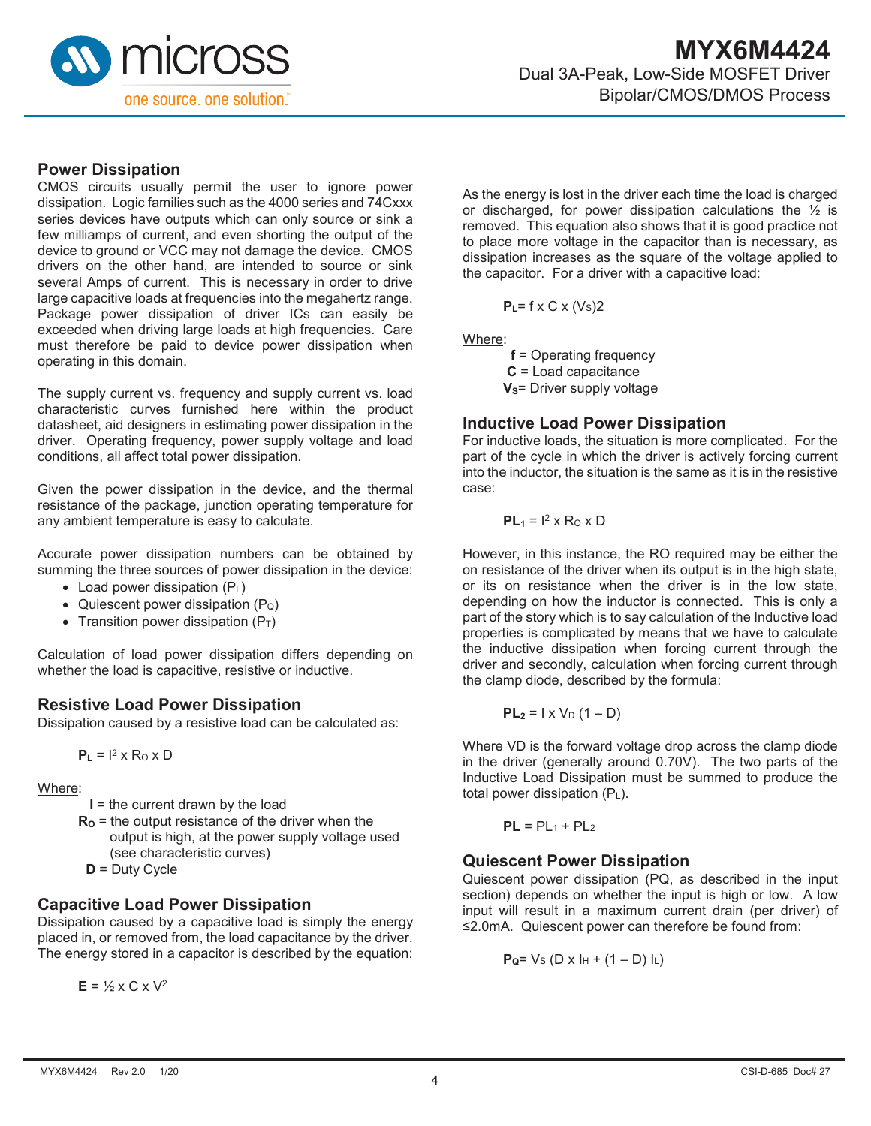

#### **Power Dissipation**

CMOS circuits usually permit the user to ignore power dissipation. Logic families such as the 4000 series and 74Cxxx series devices have outputs which can only source or sink a few milliamps of current, and even shorting the output of the device to ground or VCC may not damage the device. CMOS drivers on the other hand, are intended to source or sink several Amps of current. This is necessary in order to drive large capacitive loads at frequencies into the megahertz range. Package power dissipation of driver ICs can easily be exceeded when driving large loads at high frequencies. Care must therefore be paid to device power dissipation when operating in this domain.

The supply current vs. frequency and supply current vs. load characteristic curves furnished here within the product datasheet, aid designers in estimating power dissipation in the driver. Operating frequency, power supply voltage and load conditions, all affect total power dissipation.

Given the power dissipation in the device, and the thermal resistance of the package, junction operating temperature for any ambient temperature is easy to calculate.

Accurate power dissipation numbers can be obtained by summing the three sources of power dissipation in the device:

- Load power dissipation (PL)
- Quiescent power dissipation  $(P_Q)$
- Transition power dissipation  $(P_T)$

Calculation of load power dissipation differs depending on whether the load is capacitive, resistive or inductive.

#### **Resistive Load Power Dissipation**

Dissipation caused by a resistive load can be calculated as:

 $P_L = I^2 \times R_0 \times D$ 

#### Where:

- **I** = the current drawn by the load
- $R_0$  = the output resistance of the driver when the output is high, at the power supply voltage used (see characteristic curves)
- **D** = Duty Cycle

#### **Capacitive Load Power Dissipation**

Dissipation caused by a capacitive load is simply the energy placed in, or removed from, the load capacitance by the driver. The energy stored in a capacitor is described by the equation:

 $E = \frac{1}{2} \times C \times V^2$ 

As the energy is lost in the driver each time the load is charged or discharged, for power dissipation calculations the  $\frac{1}{2}$  is removed. This equation also shows that it is good practice not to place more voltage in the capacitor than is necessary, as dissipation increases as the square of the voltage applied to the capacitor. For a driver with a capacitive load:

**P**<sub>L</sub>= f x C x (V<sub>S</sub>)2

Where:

 **f** = Operating frequency **C** = Load capacitance **V<sub>S</sub>**= Driver supply voltage

#### **Inductive Load Power Dissipation**

For inductive loads, the situation is more complicated. For the part of the cycle in which the driver is actively forcing current into the inductor, the situation is the same as it is in the resistive case:

$$
PL_1 = I^2 \times R_0 \times D
$$

However, in this instance, the RO required may be either the on resistance of the driver when its output is in the high state, or its on resistance when the driver is in the low state, depending on how the inductor is connected. This is only a part of the story which is to say calculation of the Inductive load properties is complicated by means that we have to calculate the inductive dissipation when forcing current through the driver and secondly, calculation when forcing current through the clamp diode, described by the formula:

$$
PL_2 = I \times V_D (1 - D)
$$

Where VD is the forward voltage drop across the clamp diode in the driver (generally around 0.70V). The two parts of the Inductive Load Dissipation must be summed to produce the total power dissipation (PL).

$$
PL = PL_1 + PL_2
$$

#### **Quiescent Power Dissipation**

Quiescent power dissipation (PQ, as described in the input section) depends on whether the input is high or low. A low input will result in a maximum current drain (per driver) of ≤2.0mA. Quiescent power can therefore be found from:

$$
P_Q = V_S (D \times I_H + (1 - D) I_L)
$$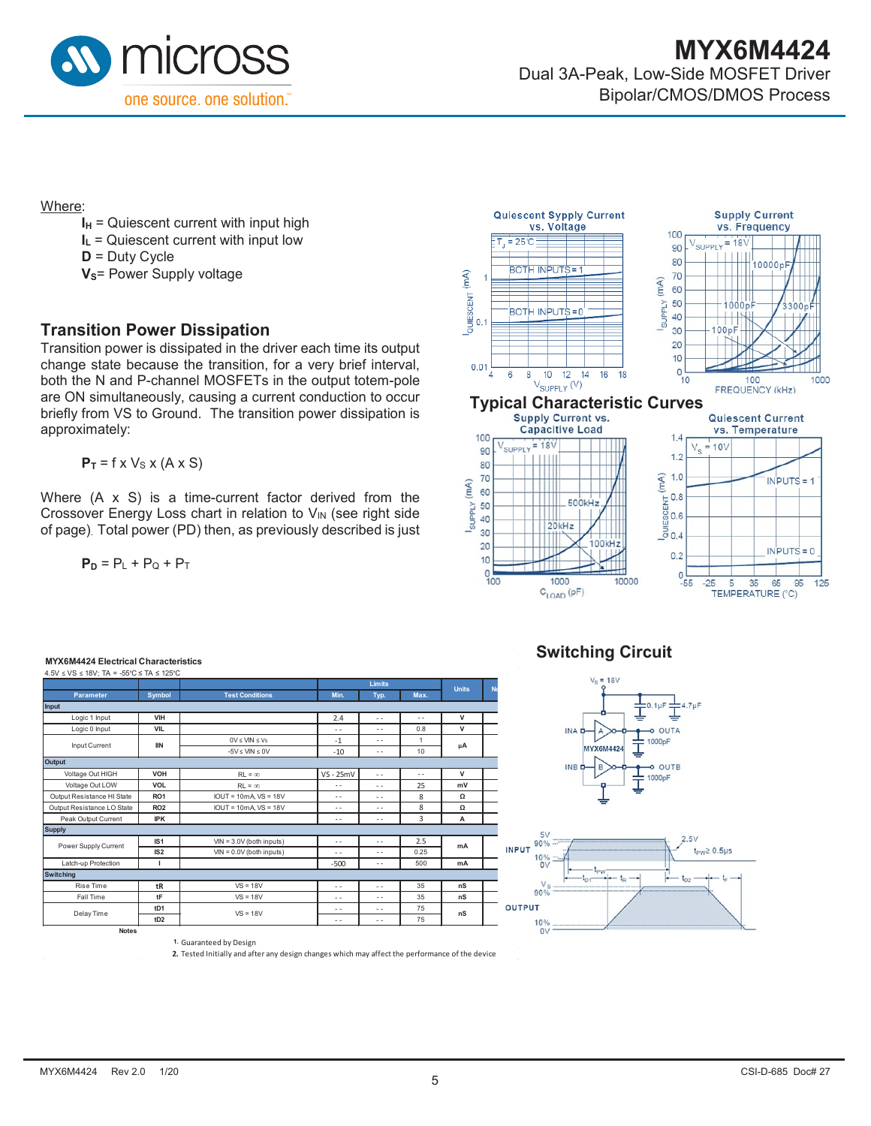

Where:

- $I_H$  = Quiescent current with input high
- **I<sub>L</sub>** = Quiescent current with input low

**D** = Duty Cycle

**V<sub>S</sub>**= Power Supply voltage

#### **Transition Power Dissipation**

Transition power is dissipated in the driver each time its output change state because the transition, for a very brief interval, both the N and P-channel MOSFETs in the output totem-pole are ON simultaneously, causing a current conduction to occur briefly from VS to Ground. The transition power dissipation is approximately:

 $P_T = f \times V_S \times (A \times S)$ 

Where (A x S) is a time-current factor derived from the Crossover Energy Loss chart in relation to  $V_{IN}$  (see right side of page). Total power (PD) then, as previously described is just

$$
\mathbf{P}_{\mathsf{D}} = \mathsf{P}_{\mathsf{L}} + \mathsf{P}_{\mathsf{Q}} + \mathsf{P}_{\mathsf{T}}
$$



**Switching Circuit**



#### **MYX6M4424 Electrical Characteristics**

|                            |                 |                            |               | <b>Limits</b> |                      |              |  |
|----------------------------|-----------------|----------------------------|---------------|---------------|----------------------|--------------|--|
| <b>Parameter</b>           | <b>Symbol</b>   | <b>Test Conditions</b>     | Min.          | Max.<br>Typ.  |                      | <b>Units</b> |  |
| Input                      |                 |                            |               |               |                      |              |  |
| Logic 1 Input              | VIH             |                            | 2.4           | $\sim$        | $\sim$               | v            |  |
| Logic 0 Input              | <b>VIL</b>      |                            | $\sim$ $\sim$ | $\sim$ $\sim$ | 0.8                  | v            |  |
|                            | <b>IIN</b>      | $0V \leq UN \leq Vs$       | $-1$          | $\sim$ $\sim$ | 1                    |              |  |
| Input Current              |                 | $-5V < UN < 0V$            | $-10$         | $\sim$ $\sim$ | 10                   | μA           |  |
| Output                     |                 |                            |               |               |                      |              |  |
| Voltage Out HIGH           | VOH             | $R1 = \infty$              | $VS - 25mV$   | $\sim$        | $\ddot{\phantom{a}}$ | $\mathsf{v}$ |  |
| Voltage Out LOW            | <b>VOL</b>      | $R1 = \infty$              | $-$           | $\sim$ $-$    | 25                   | mV           |  |
| Output Resistance HI State | RO <sub>1</sub> | $IOUT = 10mA$ VS = 18V     | $ -$          | $\sim$        | 8                    | Ω            |  |
| Output Resistance LO State | RO <sub>2</sub> | $IOUT = 10mA$ VS = 18V     | $\sim$        | $\sim$ $\sim$ | 8                    | Ω            |  |
| Peak Output Current        | <b>IPK</b>      |                            | $- -$         | $\frac{1}{2}$ | 3                    | A            |  |
| <b>Supply</b>              |                 |                            |               |               |                      |              |  |
| Power Supply Current       | IS <sub>1</sub> | $VIN = 3.0V$ (both inputs) | $\sim$        | $\sim$ $\sim$ | 2.5                  | mA           |  |
|                            | IS2             | $VIN = 0.0V$ (both inputs) | $\sim$ $\sim$ | $\sim$ $\sim$ | 0.25                 |              |  |
| Latch-up Protection        | т               |                            | $-500$        | $\sim$ $\sim$ | 500                  | mA           |  |
| <b>Switching</b>           |                 |                            |               |               |                      |              |  |
| Rise Time                  | tR              | $VS = 18V$                 | $\sim$ $\sim$ | $\sim$ $-$    | 35                   | nS           |  |
| Fall Time                  | tF              | $VS = 18V$                 | $\sim$ $\sim$ | $\frac{1}{2}$ | 35                   | nS           |  |
| Delay Time                 | tD <sub>1</sub> | $VS = 18V$                 | $ -$          | $\sim$        | 75                   | nS           |  |
|                            | tD2             |                            | $ -$          | $\sim$        | 75                   |              |  |

**1.** Guaranteed by Design

**2.** Tested Initially and after any design changes which may affect the performance of the device